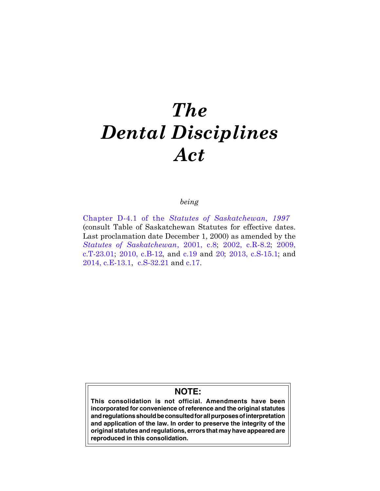# *The Dental Disciplines Act*

# *being*

Chapter D-4.1 of the *[Statutes of Saskatchewan, 1997](http://www.qp.gov.sk.ca/documents/english/chapters/1997/d4-1.pdf)*  (consult Table of Saskatchewan Statutes for effective dates. Last proclamation date December 1, 2000) as amended by the *[Statutes of Saskatchewan](http://www.qp.gov.sk.ca/documents/english/chapters/2001/chap-8.pdf)*, 2001, c.8; [2002, c.R-8.2](http://www.qp.gov.sk.ca/documents/english/Chapters/2002/r8-2.pdf); [2009,](http://www.qp.gov.sk.ca/documents/english/Chapters/2009/T23-01.pdf) [c.T-23.01;](http://www.qp.gov.sk.ca/documents/english/Chapters/2009/T23-01.pdf) [2010, c.B-12,](http://www.qp.gov.sk.ca/documents/english/Chapters/2010/B12.pdf) and [c.19](http://www.qp.gov.sk.ca/documents/english/Chapters/2010/Chap-19.pdf) and [20](http://www.qp.gov.sk.ca/documents/english/Chapters/2010/Chap-20.pdf); [2013, c.S-15.1;](http://www.qp.gov.sk.ca/documents/English/Statutes/Statutes/S15-1.pdf) and [2014, c.E-13.1,](http://www.qp.gov.sk.ca/documents/english/Chapters/2014/E13-1.pdf) [c.S-32.21](http://www.qp.gov.sk.ca/documents/english/Chapters/2014/S32-21.pdf) and [c.17](http://www.qp.gov.sk.ca/documents/english/Chapters/2014/Chap-17.pdf).

# **NOTE:**

**This consolidation is not official. Amendments have been incorporated for convenience of reference and the original statutes and regulations should be consulted for all purposes of interpretation and application of the law. In order to preserve the integrity of the original statutes and regulations, errors that may have appeared are reproduced in this consolidation.**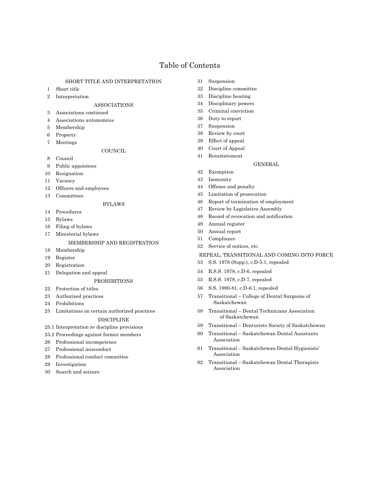# Table of Contents

# SHORT TITLE AND INTERPRETATION

- 1 Short title
- 2 Interpretation

#### ASSOCIATIONS

- 3 Associations continued
- 4 Associations autonomous
- 5 Membership
- 6 Property
- 7 Meetings

#### **COUNCIL**

- 8 Council
- 9 Public appointees
- 10 Resignation
- 11 Vacancy
- 12 Officers and employees
- 13 Committees

# BYLAWS

- 14 Procedures
- 15 Bylaws
- 16 Filing of bylaws
- 17 Ministerial bylaws

# MEMBERSHIP AND REGISTRATION

- 18 Membership
- 19 Register
- 20 Registration
- 21 Delegation and appeal

#### PROHIBITIONS

- 22 Protection of titles
- 23 Authorized practices
- 24 Prohibitions
- 25 Limitations on certain authorized practices

# DISCIPLINE

- 25.1 Interpretation re discipline provisions
- 25.2 Proceedings against former members
- 26 Professional incompetence
- 27 Professional misconduct
- 28 Professional conduct committee
- 29 Investigation
- 30 Search and seizure
- 31 Suspension
- 32 Discipline committee
- 33 Discipline hearing
- 34 Disciplinary powers
- 35 Criminal conviction
- 36 Duty to report
- 37 Suspension
- 38 Review by court
- 39 Effect of appeal
- 40 Court of Appeal
- 41 Reinstatement

#### GENERAL

- 42 Exemption
- 43 Immunity
- 44 Offence and penalty
- 45 Limitation of prosecution
- 46 Report of termination of employment
- 47 Review by Legislative Assembly
- 48 Record of revocation and notification
- 49 Annual register
- 50 Annual report
- 51 Compliance
- 52 Service of notices, etc.
- REPEAL, TRANSITIONAL AND COMING INTO FORCE
- 53 S.S. 1978 (Supp.), c.D-5.1, repealed
- 54 R.S.S. 1978, c.D-6, repealed
- 55 R.S.S. 1978, c.D-7, repealed
- 56 S.S. 1980-81, c.D-6.1, repealed
- 57 Transitional College of Dental Surgeons of Saskatchewan
- 58 Transitional Dental Technicians Association of Saskatchewan
- 59 Transitional Denturists Society of Saskatchewan
- 60 Transitional Saskatchewan Dental Assistants Association
- 61 Transitional Saskatchewan Dental Hygienists' Association
- 62 Transitional Saskatchewan Dental Therapists Association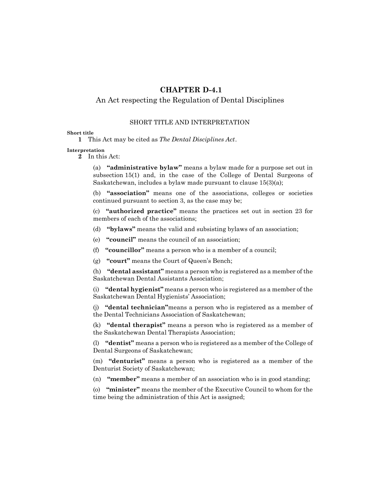# **CHAPTER D-4.1**

# An Act respecting the Regulation of Dental Disciplines

# SHORT TITLE AND INTERPRETATION

# **Short title**

**1** This Act may be cited as *The Dental Disciplines Act*.

#### **Interpretation**

**2** In this Act:

(a) **"administrative bylaw"** means a bylaw made for a purpose set out in subsection 15(1) and, in the case of the College of Dental Surgeons of Saskatchewan, includes a bylaw made pursuant to clause 15(3)(a);

(b) **"association"** means one of the associations, colleges or societies continued pursuant to section 3, as the case may be;

(c) **"authorized practice"** means the practices set out in section 23 for members of each of the associations;

(d) **"bylaws"** means the valid and subsisting bylaws of an association;

(e) **"council"** means the council of an association;

(f) **"councillor"** means a person who is a member of a council;

(g) **"court"** means the Court of Queen's Bench;

(h) **"dental assistant"** means a person who is registered as a member of the Saskatchewan Dental Assistants Association;

(i) **"dental hygienist"** means a person who is registered as a member of the Saskatchewan Dental Hygienists' Association;

(j) **"dental technician"**means a person who is registered as a member of the Dental Technicians Association of Saskatchewan;

(k) **"dental therapist"** means a person who is registered as a member of the Saskatchewan Dental Therapists Association;

(l) **"dentist"** means a person who is registered as a member of the College of Dental Surgeons of Saskatchewan;

(m) **"denturist"** means a person who is registered as a member of the Denturist Society of Saskatchewan;

(n) **"member"** means a member of an association who is in good standing;

(o) **"minister"** means the member of the Executive Council to whom for the time being the administration of this Act is assigned;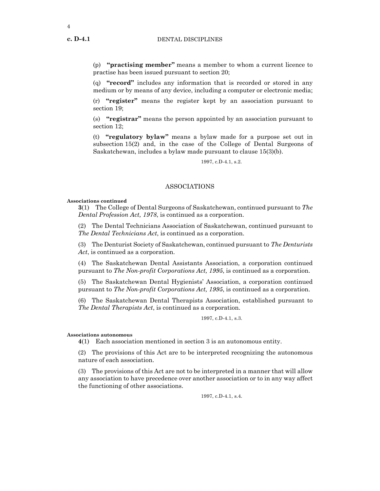(p) **"practising member"** means a member to whom a current licence to practise has been issued pursuant to section 20;

(q) **"record"** includes any information that is recorded or stored in any medium or by means of any device, including a computer or electronic media;

(r) **"register"** means the register kept by an association pursuant to section 19;

(s) **"registrar"** means the person appointed by an association pursuant to section 12;

(t) **"regulatory bylaw"** means a bylaw made for a purpose set out in subsection 15(2) and, in the case of the College of Dental Surgeons of Saskatchewan, includes a bylaw made pursuant to clause 15(3)(b).

1997, c.D-4.1, s.2.

# ASSOCIATIONS

#### **Associations continued**

**3**(1) The College of Dental Surgeons of Saskatchewan, continued pursuant to *The Dental Profession Act, 1978*, is continued as a corporation.

(2) The Dental Technicians Association of Saskatchewan, continued pursuant to *The Dental Technicians Act*, is continued as a corporation.

(3) The Denturist Society of Saskatchewan, continued pursuant to *The Denturists Act*, is continued as a corporation.

(4) The Saskatchewan Dental Assistants Association, a corporation continued pursuant to *The Non-profit Corporations Act, 1995*, is continued as a corporation.

(5) The Saskatchewan Dental Hygienists' Association, a corporation continued pursuant to *The Non-profit Corporations Act, 1995*, is continued as a corporation.

(6) The Saskatchewan Dental Therapists Association, established pursuant to *The Dental Therapists Act*, is continued as a corporation.

1997, c.D-4.1, s.3.

#### **Associations autonomous**

**4**(1) Each association mentioned in section 3 is an autonomous entity.

(2) The provisions of this Act are to be interpreted recognizing the autonomous nature of each association.

(3) The provisions of this Act are not to be interpreted in a manner that will allow any association to have precedence over another association or to in any way affect the functioning of other associations.

1997, c.D-4.1, s.4.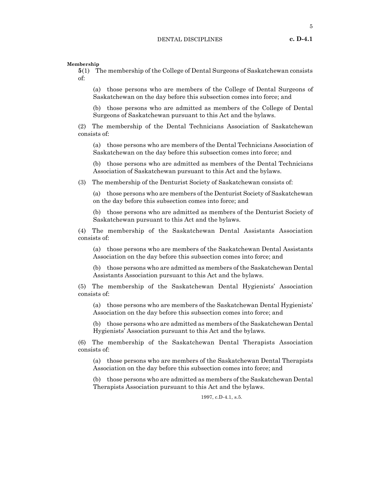**Membership**

**5**(1) The membership of the College of Dental Surgeons of Saskatchewan consists of:

(a) those persons who are members of the College of Dental Surgeons of Saskatchewan on the day before this subsection comes into force; and

(b) those persons who are admitted as members of the College of Dental Surgeons of Saskatchewan pursuant to this Act and the bylaws.

(2) The membership of the Dental Technicians Association of Saskatchewan consists of:

(a) those persons who are members of the Dental Technicians Association of Saskatchewan on the day before this subsection comes into force; and

(b) those persons who are admitted as members of the Dental Technicians Association of Saskatchewan pursuant to this Act and the bylaws.

(3) The membership of the Denturist Society of Saskatchewan consists of:

(a) those persons who are members of the Denturist Society of Saskatchewan on the day before this subsection comes into force; and

(b) those persons who are admitted as members of the Denturist Society of Saskatchewan pursuant to this Act and the bylaws.

(4) The membership of the Saskatchewan Dental Assistants Association consists of:

(a) those persons who are members of the Saskatchewan Dental Assistants Association on the day before this subsection comes into force; and

(b) those persons who are admitted as members of the Saskatchewan Dental Assistants Association pursuant to this Act and the bylaws.

(5) The membership of the Saskatchewan Dental Hygienists' Association consists of:

(a) those persons who are members of the Saskatchewan Dental Hygienists' Association on the day before this subsection comes into force; and

(b) those persons who are admitted as members of the Saskatchewan Dental Hygienists' Association pursuant to this Act and the bylaws.

(6) The membership of the Saskatchewan Dental Therapists Association consists of:

(a) those persons who are members of the Saskatchewan Dental Therapists Association on the day before this subsection comes into force; and

(b) those persons who are admitted as members of the Saskatchewan Dental Therapists Association pursuant to this Act and the bylaws.

1997, c.D-4.1, s.5.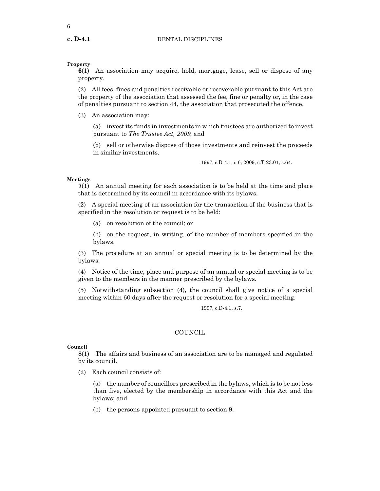6

# **Property**

**6**(1) An association may acquire, hold, mortgage, lease, sell or dispose of any property.

(2) All fees, fines and penalties receivable or recoverable pursuant to this Act are the property of the association that assessed the fee, fine or penalty or, in the case of penalties pursuant to section 44, the association that prosecuted the offence.

(3) An association may:

(a) invest its funds in investments in which trustees are authorized to invest pursuant to *The Trustee Act, 2009*; and

(b) sell or otherwise dispose of those investments and reinvest the proceeds in similar investments.

1997, c.D-4.1, s.6; 2009, c.T-23.01, s.64.

#### **Meetings**

**7**(1) An annual meeting for each association is to be held at the time and place that is determined by its council in accordance with its bylaws.

(2) A special meeting of an association for the transaction of the business that is specified in the resolution or request is to be held:

(a) on resolution of the council; or

(b) on the request, in writing, of the number of members specified in the bylaws.

(3) The procedure at an annual or special meeting is to be determined by the bylaws.

(4) Notice of the time, place and purpose of an annual or special meeting is to be given to the members in the manner prescribed by the bylaws.

(5) Notwithstanding subsection (4), the council shall give notice of a special meeting within 60 days after the request or resolution for a special meeting.

1997, c.D-4.1, s.7.

# **COUNCIL**

# **Council**

**8**(1) The affairs and business of an association are to be managed and regulated by its council.

(2) Each council consists of:

(a) the number of councillors prescribed in the bylaws, which is to be not less than five, elected by the membership in accordance with this Act and the bylaws; and

(b) the persons appointed pursuant to section 9.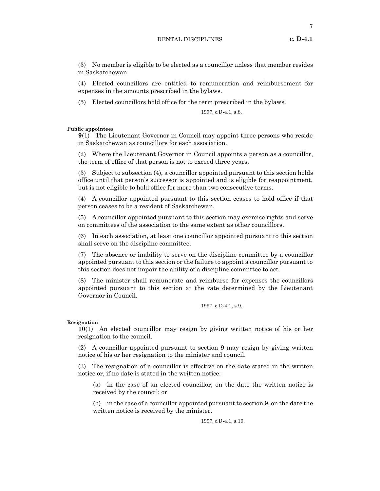(3) No member is eligible to be elected as a councillor unless that member resides in Saskatchewan.

(4) Elected councillors are entitled to remuneration and reimbursement for expenses in the amounts prescribed in the bylaws.

(5) Elected councillors hold office for the term prescribed in the bylaws.

1997, c.D-4.1, s.8.

# **Public appointees**

**9**(1) The Lieutenant Governor in Council may appoint three persons who reside in Saskatchewan as councillors for each association.

(2) Where the Lieutenant Governor in Council appoints a person as a councillor, the term of office of that person is not to exceed three years.

(3) Subject to subsection (4), a councillor appointed pursuant to this section holds office until that person's successor is appointed and is eligible for reappointment, but is not eligible to hold office for more than two consecutive terms.

(4) A councillor appointed pursuant to this section ceases to hold office if that person ceases to be a resident of Saskatchewan.

(5) A councillor appointed pursuant to this section may exercise rights and serve on committees of the association to the same extent as other councillors.

(6) In each association, at least one councillor appointed pursuant to this section shall serve on the discipline committee.

(7) The absence or inability to serve on the discipline committee by a councillor appointed pursuant to this section or the failure to appoint a councillor pursuant to this section does not impair the ability of a discipline committee to act.

(8) The minister shall remunerate and reimburse for expenses the councillors appointed pursuant to this section at the rate determined by the Lieutenant Governor in Council.

1997, c.D-4.1, s.9.

#### **Resignation**

**10**(1) An elected councillor may resign by giving written notice of his or her resignation to the council.

(2) A councillor appointed pursuant to section 9 may resign by giving written notice of his or her resignation to the minister and council.

(3) The resignation of a councillor is effective on the date stated in the written notice or, if no date is stated in the written notice:

(a) in the case of an elected councillor, on the date the written notice is received by the council; or

(b) in the case of a councillor appointed pursuant to section 9, on the date the written notice is received by the minister.

1997, c.D-4.1, s.10.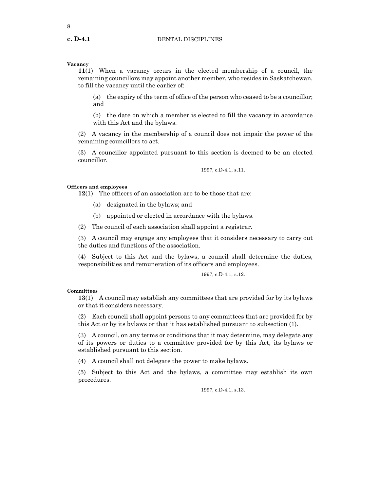8

# **Vacancy**

**11**(1) When a vacancy occurs in the elected membership of a council, the remaining councillors may appoint another member, who resides in Saskatchewan, to fill the vacancy until the earlier of:

(a) the expiry of the term of office of the person who ceased to be a councillor; and

(b) the date on which a member is elected to fill the vacancy in accordance with this Act and the bylaws.

(2) A vacancy in the membership of a council does not impair the power of the remaining councillors to act.

(3) A councillor appointed pursuant to this section is deemed to be an elected councillor.

1997, c.D-4.1, s.11.

# **Officers and employees**

**12**(1) The officers of an association are to be those that are:

- (a) designated in the bylaws; and
- (b) appointed or elected in accordance with the bylaws.

(2) The council of each association shall appoint a registrar.

(3) A council may engage any employees that it considers necessary to carry out the duties and functions of the association.

(4) Subject to this Act and the bylaws, a council shall determine the duties, responsibilities and remuneration of its officers and employees.

1997, c.D-4.1, s.12.

# **Committees**

**13**(1) A council may establish any committees that are provided for by its bylaws or that it considers necessary.

(2) Each council shall appoint persons to any committees that are provided for by this Act or by its bylaws or that it has established pursuant to subsection (1).

(3) A council, on any terms or conditions that it may determine, may delegate any of its powers or duties to a committee provided for by this Act, its bylaws or established pursuant to this section.

(4) A council shall not delegate the power to make bylaws.

(5) Subject to this Act and the bylaws, a committee may establish its own procedures.

1997, c.D-4.1, s.13.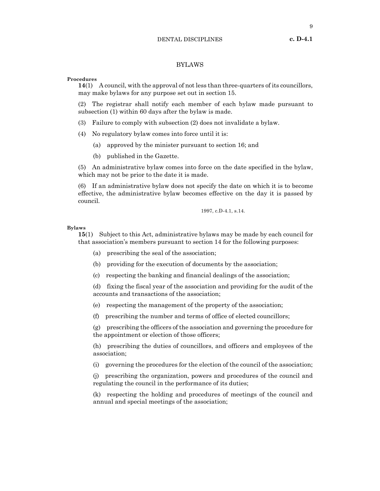# DENTAL DISCIPLINES **c. D-4.1**

# BYLAWS

#### **Procedures**

**14**(1) A council, with the approval of not less than three-quarters of its councillors, may make bylaws for any purpose set out in section 15.

(2) The registrar shall notify each member of each bylaw made pursuant to subsection (1) within 60 days after the bylaw is made.

- (3) Failure to comply with subsection (2) does not invalidate a bylaw.
- (4) No regulatory bylaw comes into force until it is:
	- (a) approved by the minister pursuant to section 16; and
	- (b) published in the Gazette.

(5) An administrative bylaw comes into force on the date specified in the bylaw, which may not be prior to the date it is made.

(6) If an administrative bylaw does not specify the date on which it is to become effective, the administrative bylaw becomes effective on the day it is passed by council.

1997, c.D-4.1, s.14.

# **Bylaws**

**15**(1) Subject to this Act, administrative bylaws may be made by each council for that association's members pursuant to section 14 for the following purposes:

- (a) prescribing the seal of the association;
- (b) providing for the execution of documents by the association;
- (c) respecting the banking and financial dealings of the association;

(d) fixing the fiscal year of the association and providing for the audit of the accounts and transactions of the association;

- (e) respecting the management of the property of the association;
- (f) prescribing the number and terms of office of elected councillors;

(g) prescribing the officers of the association and governing the procedure for the appointment or election of those officers;

(h) prescribing the duties of councillors, and officers and employees of the association;

(i) governing the procedures for the election of the council of the association;

(j) prescribing the organization, powers and procedures of the council and regulating the council in the performance of its duties;

(k) respecting the holding and procedures of meetings of the council and annual and special meetings of the association;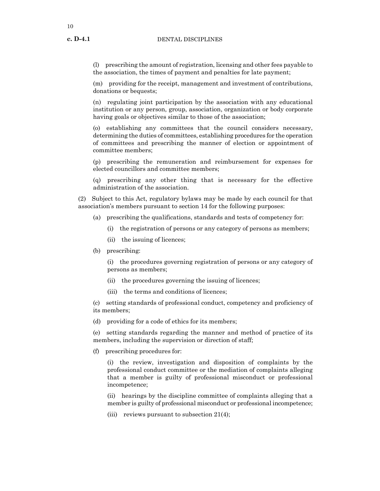(l) prescribing the amount of registration, licensing and other fees payable to the association, the times of payment and penalties for late payment;

(m) providing for the receipt, management and investment of contributions, donations or bequests;

(n) regulating joint participation by the association with any educational institution or any person, group, association, organization or body corporate having goals or objectives similar to those of the association;

(o) establishing any committees that the council considers necessary, determining the duties of committees, establishing procedures for the operation of committees and prescribing the manner of election or appointment of committee members;

(p) prescribing the remuneration and reimbursement for expenses for elected councillors and committee members;

(q) prescribing any other thing that is necessary for the effective administration of the association.

(2) Subject to this Act, regulatory bylaws may be made by each council for that association's members pursuant to section 14 for the following purposes:

- (a) prescribing the qualifications, standards and tests of competency for:
	- (i) the registration of persons or any category of persons as members;
	- (ii) the issuing of licences;
- (b) prescribing:

(i) the procedures governing registration of persons or any category of persons as members;

- (ii) the procedures governing the issuing of licences;
- (iii) the terms and conditions of licences;

(c) setting standards of professional conduct, competency and proficiency of its members;

(d) providing for a code of ethics for its members;

(e) setting standards regarding the manner and method of practice of its members, including the supervision or direction of staff;

(f) prescribing procedures for:

(i) the review, investigation and disposition of complaints by the professional conduct committee or the mediation of complaints alleging that a member is guilty of professional misconduct or professional incompetence;

(ii) hearings by the discipline committee of complaints alleging that a member is guilty of professional misconduct or professional incompetence;

(iii) reviews pursuant to subsection  $21(4)$ ;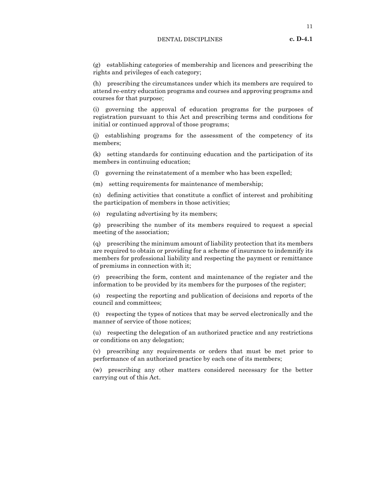# DENTAL DISCIPLINES **c. D-4.1**

(g) establishing categories of membership and licences and prescribing the rights and privileges of each category;

(h) prescribing the circumstances under which its members are required to attend re-entry education programs and courses and approving programs and courses for that purpose;

(i) governing the approval of education programs for the purposes of registration pursuant to this Act and prescribing terms and conditions for initial or continued approval of those programs;

(j) establishing programs for the assessment of the competency of its members;

(k) setting standards for continuing education and the participation of its members in continuing education;

(l) governing the reinstatement of a member who has been expelled;

(m) setting requirements for maintenance of membership;

(n) defining activities that constitute a conflict of interest and prohibiting the participation of members in those activities;

(o) regulating advertising by its members;

(p) prescribing the number of its members required to request a special meeting of the association;

(q) prescribing the minimum amount of liability protection that its members are required to obtain or providing for a scheme of insurance to indemnify its members for professional liability and respecting the payment or remittance of premiums in connection with it;

(r) prescribing the form, content and maintenance of the register and the information to be provided by its members for the purposes of the register;

(s) respecting the reporting and publication of decisions and reports of the council and committees;

(t) respecting the types of notices that may be served electronically and the manner of service of those notices;

(u) respecting the delegation of an authorized practice and any restrictions or conditions on any delegation;

(v) prescribing any requirements or orders that must be met prior to performance of an authorized practice by each one of its members;

(w) prescribing any other matters considered necessary for the better carrying out of this Act.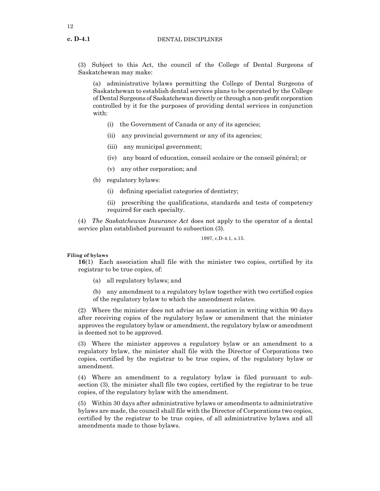(3) Subject to this Act, the council of the College of Dental Surgeons of Saskatchewan may make:

(a) administrative bylaws permitting the College of Dental Surgeons of Saskatchewan to establish dental services plans to be operated by the College of Dental Surgeons of Saskatchewan directly or through a non-profit corporation controlled by it for the purposes of providing dental services in conjunction with:

- (i) the Government of Canada or any of its agencies;
- (ii) any provincial government or any of its agencies;
- (iii) any municipal government;
- (iv) any board of education, conseil scolaire or the conseil général; or
- (v) any other corporation; and
- (b) regulatory bylaws:
	- (i) defining specialist categories of dentistry;

(ii) prescribing the qualifications, standards and tests of competency required for each specialty.

(4) *The Saskatchewan Insurance Act* does not apply to the operator of a dental service plan established pursuant to subsection (3).

1997, c.D-4.1, s.15.

# **Filing of bylaws**

**16**(1) Each association shall file with the minister two copies, certified by its registrar to be true copies, of:

(a) all regulatory bylaws; and

(b) any amendment to a regulatory bylaw together with two certified copies of the regulatory bylaw to which the amendment relates.

(2) Where the minister does not advise an association in writing within 90 days after receiving copies of the regulatory bylaw or amendment that the minister approves the regulatory bylaw or amendment, the regulatory bylaw or amendment is deemed not to be approved.

(3) Where the minister approves a regulatory bylaw or an amendment to a regulatory bylaw, the minister shall file with the Director of Corporations two copies, certified by the registrar to be true copies, of the regulatory bylaw or amendment.

(4) Where an amendment to a regulatory bylaw is filed pursuant to subsection (3), the minister shall file two copies, certified by the registrar to be true copies, of the regulatory bylaw with the amendment.

(5) Within 30 days after administrative bylaws or amendments to administrative bylaws are made, the council shall file with the Director of Corporations two copies, certified by the registrar to be true copies, of all administrative bylaws and all amendments made to those bylaws.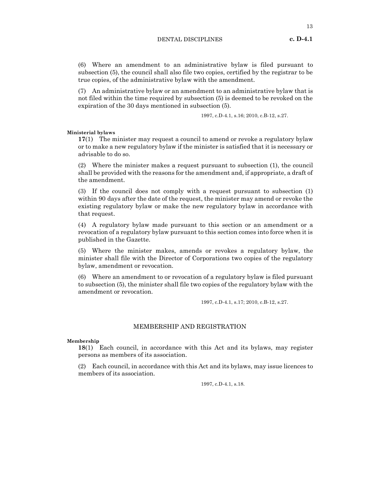(6) Where an amendment to an administrative bylaw is filed pursuant to subsection (5), the council shall also file two copies, certified by the registrar to be true copies, of the administrative bylaw with the amendment.

(7) An administrative bylaw or an amendment to an administrative bylaw that is not filed within the time required by subsection (5) is deemed to be revoked on the expiration of the 30 days mentioned in subsection (5).

1997, c.D-4.1, s.16; 2010, c.B-12, s.27.

**Ministerial bylaws**

**17**(1) The minister may request a council to amend or revoke a regulatory bylaw or to make a new regulatory bylaw if the minister is satisfied that it is necessary or advisable to do so.

(2) Where the minister makes a request pursuant to subsection (1), the council shall be provided with the reasons for the amendment and, if appropriate, a draft of the amendment.

(3) If the council does not comply with a request pursuant to subsection (1) within 90 days after the date of the request, the minister may amend or revoke the existing regulatory bylaw or make the new regulatory bylaw in accordance with that request.

(4) A regulatory bylaw made pursuant to this section or an amendment or a revocation of a regulatory bylaw pursuant to this section comes into force when it is published in the Gazette.

(5) Where the minister makes, amends or revokes a regulatory bylaw, the minister shall file with the Director of Corporations two copies of the regulatory bylaw, amendment or revocation.

(6) Where an amendment to or revocation of a regulatory bylaw is filed pursuant to subsection (5), the minister shall file two copies of the regulatory bylaw with the amendment or revocation.

1997, c.D-4.1, s.17; 2010, c.B-12, s.27.

# MEMBERSHIP AND REGISTRATION

#### **Membership**

**18**(1) Each council, in accordance with this Act and its bylaws, may register persons as members of its association.

(2) Each council, in accordance with this Act and its bylaws, may issue licences to members of its association.

1997, c.D-4.1, s.18.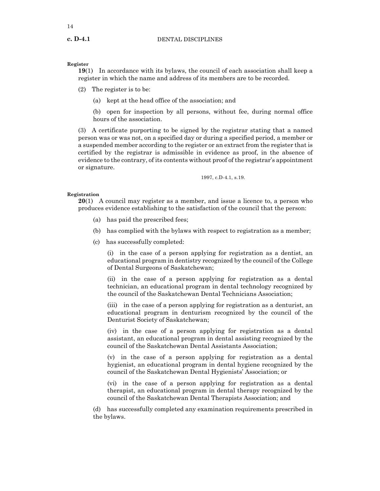# **Register**

**19**(1) In accordance with its bylaws, the council of each association shall keep a register in which the name and address of its members are to be recorded.

(2) The register is to be:

(a) kept at the head office of the association; and

(b) open for inspection by all persons, without fee, during normal office hours of the association.

(3) A certificate purporting to be signed by the registrar stating that a named person was or was not, on a specified day or during a specified period, a member or a suspended member according to the register or an extract from the register that is certified by the registrar is admissible in evidence as proof, in the absence of evidence to the contrary, of its contents without proof of the registrar's appointment or signature.

1997, c.D-4.1, s.19.

# **Registration**

**20**(1) A council may register as a member, and issue a licence to, a person who produces evidence establishing to the satisfaction of the council that the person:

- (a) has paid the prescribed fees;
- (b) has complied with the bylaws with respect to registration as a member;
- (c) has successfully completed:

(i) in the case of a person applying for registration as a dentist, an educational program in dentistry recognized by the council of the College of Dental Surgeons of Saskatchewan;

(ii) in the case of a person applying for registration as a dental technician, an educational program in dental technology recognized by the council of the Saskatchewan Dental Technicians Association;

(iii) in the case of a person applying for registration as a denturist, an educational program in denturism recognized by the council of the Denturist Society of Saskatchewan;

(iv) in the case of a person applying for registration as a dental assistant, an educational program in dental assisting recognized by the council of the Saskatchewan Dental Assistants Association;

(v) in the case of a person applying for registration as a dental hygienist, an educational program in dental hygiene recognized by the council of the Saskatchewan Dental Hygienists' Association; or

(vi) in the case of a person applying for registration as a dental therapist, an educational program in dental therapy recognized by the council of the Saskatchewan Dental Therapists Association; and

(d) has successfully completed any examination requirements prescribed in the bylaws.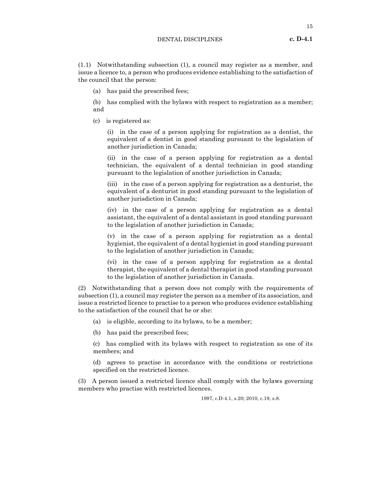#### DENTAL DISCIPLINES **c. D-4.1**

(1.1) Notwithstanding subsection (1), a council may register as a member, and issue a licence to, a person who produces evidence establishing to the satisfaction of the council that the person:

(a) has paid the prescribed fees;

(b) has complied with the bylaws with respect to registration as a member; and

(c) is registered as:

(i) in the case of a person applying for registration as a dentist, the equivalent of a dentist in good standing pursuant to the legislation of another jurisdiction in Canada;

(ii) in the case of a person applying for registration as a dental technician, the equivalent of a dental technician in good standing pursuant to the legislation of another jurisdiction in Canada;

(iii) in the case of a person applying for registration as a denturist, the equivalent of a denturist in good standing pursuant to the legislation of another jurisdiction in Canada;

(iv) in the case of a person applying for registration as a dental assistant, the equivalent of a dental assistant in good standing pursuant to the legislation of another jurisdiction in Canada;

(v) in the case of a person applying for registration as a dental hygienist, the equivalent of a dental hygienist in good standing pursuant to the legislation of another jurisdiction in Canada;

(vi) in the case of a person applying for registration as a dental therapist, the equivalent of a dental therapist in good standing pursuant to the legislation of another jurisdiction in Canada.

(2) Notwithstanding that a person does not comply with the requirements of subsection (1), a council may register the person as a member of its association, and issue a restricted licence to practise to a person who produces evidence establishing to the satisfaction of the council that he or she:

- (a) is eligible, according to its bylaws, to be a member;
- (b) has paid the prescribed fees;

(c) has complied with its bylaws with respect to registration as one of its members; and

(d) agrees to practise in accordance with the conditions or restrictions specified on the restricted licence.

(3) A person issued a restricted licence shall comply with the bylaws governing members who practise with restricted licences.

1997, c.D-4.1, s.20; 2010, c.19, s.8.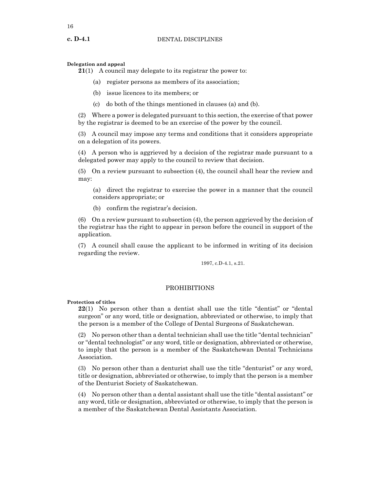# **Delegation and appeal**

**21**(1) A council may delegate to its registrar the power to:

- (a) register persons as members of its association;
- (b) issue licences to its members; or
- (c) do both of the things mentioned in clauses (a) and (b).

(2) Where a power is delegated pursuant to this section, the exercise of that power by the registrar is deemed to be an exercise of the power by the council.

(3) A council may impose any terms and conditions that it considers appropriate on a delegation of its powers.

(4) A person who is aggrieved by a decision of the registrar made pursuant to a delegated power may apply to the council to review that decision.

(5) On a review pursuant to subsection (4), the council shall hear the review and may:

(a) direct the registrar to exercise the power in a manner that the council considers appropriate; or

(b) confirm the registrar's decision.

(6) On a review pursuant to subsection (4), the person aggrieved by the decision of the registrar has the right to appear in person before the council in support of the application.

(7) A council shall cause the applicant to be informed in writing of its decision regarding the review.

1997, c.D-4.1, s.21.

# PROHIBITIONS

#### **Protection of titles**

**22**(1) No person other than a dentist shall use the title "dentist" or "dental surgeon" or any word, title or designation, abbreviated or otherwise, to imply that the person is a member of the College of Dental Surgeons of Saskatchewan.

(2) No person other than a dental technician shall use the title "dental technician" or "dental technologist" or any word, title or designation, abbreviated or otherwise, to imply that the person is a member of the Saskatchewan Dental Technicians Association.

(3) No person other than a denturist shall use the title "denturist" or any word, title or designation, abbreviated or otherwise, to imply that the person is a member of the Denturist Society of Saskatchewan.

(4) No person other than a dental assistant shall use the title "dental assistant" or any word, title or designation, abbreviated or otherwise, to imply that the person is a member of the Saskatchewan Dental Assistants Association.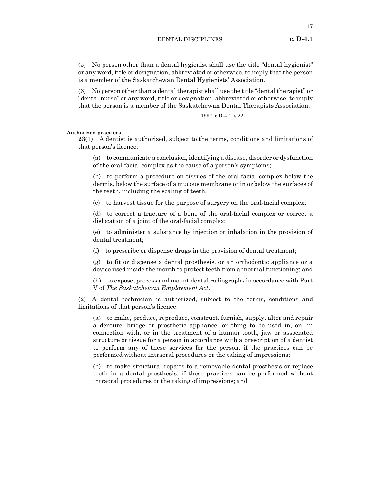(5) No person other than a dental hygienist shall use the title "dental hygienist" or any word, title or designation, abbreviated or otherwise, to imply that the person is a member of the Saskatchewan Dental Hygienists' Association.

(6) No person other than a dental therapist shall use the title "dental therapist" or "dental nurse" or any word, title or designation, abbreviated or otherwise, to imply that the person is a member of the Saskatchewan Dental Therapists Association.

1997, c.D-4.1, s.22.

**Authorized practices**

**23**(1) A dentist is authorized, subject to the terms, conditions and limitations of that person's licence:

(a) to communicate a conclusion, identifying a disease, disorder or dysfunction of the oral-facial complex as the cause of a person's symptoms;

(b) to perform a procedure on tissues of the oral-facial complex below the dermis, below the surface of a mucous membrane or in or below the surfaces of the teeth, including the scaling of teeth;

(c) to harvest tissue for the purpose of surgery on the oral-facial complex;

(d) to correct a fracture of a bone of the oral-facial complex or correct a dislocation of a joint of the oral-facial complex;

(e) to administer a substance by injection or inhalation in the provision of dental treatment;

(f) to prescribe or dispense drugs in the provision of dental treatment;

(g) to fit or dispense a dental prosthesis, or an orthodontic appliance or a device used inside the mouth to protect teeth from abnormal functioning; and

(h) to expose, process and mount dental radiographs in accordance with Part V of *The Saskatchewan Employment Act*.

(2) A dental technician is authorized, subject to the terms, conditions and limitations of that person's licence:

(a) to make, produce, reproduce, construct, furnish, supply, alter and repair a denture, bridge or prosthetic appliance, or thing to be used in, on, in connection with, or in the treatment of a human tooth, jaw or associated structure or tissue for a person in accordance with a prescription of a dentist to perform any of these services for the person, if the practices can be performed without intraoral procedures or the taking of impressions;

(b) to make structural repairs to a removable dental prosthesis or replace teeth in a dental prosthesis, if these practices can be performed without intraoral procedures or the taking of impressions; and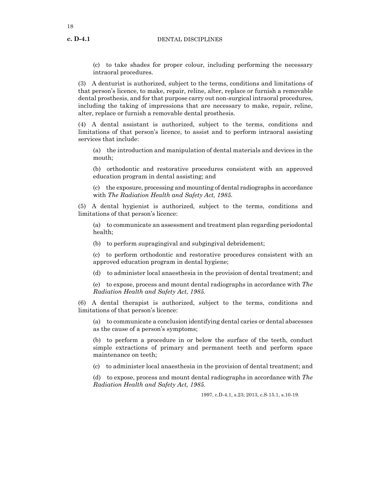18

(c) to take shades for proper colour, including performing the necessary intraoral procedures.

(3) A denturist is authorized, subject to the terms, conditions and limitations of that person's licence, to make, repair, reline, alter, replace or furnish a removable dental prosthesis, and for that purpose carry out non-surgical intraoral procedures, including the taking of impressions that are necessary to make, repair, reline, alter, replace or furnish a removable dental prosthesis.

(4) A dental assistant is authorized, subject to the terms, conditions and limitations of that person's licence, to assist and to perform intraoral assisting services that include:

(a) the introduction and manipulation of dental materials and devices in the mouth;

(b) orthodontic and restorative procedures consistent with an approved education program in dental assisting; and

(c) the exposure, processing and mounting of dental radiographs in accordance with *The Radiation Health and Safety Act, 1985*.

(5) A dental hygienist is authorized, subject to the terms, conditions and limitations of that person's licence:

(a) to communicate an assessment and treatment plan regarding periodontal health;

(b) to perform supragingival and subgingival debridement;

(c) to perform orthodontic and restorative procedures consistent with an approved education program in dental hygiene;

(d) to administer local anaesthesia in the provision of dental treatment; and

(e) to expose, process and mount dental radiographs in accordance with *The Radiation Health and Safety Act, 1985*.

(6) A dental therapist is authorized, subject to the terms, conditions and limitations of that person's licence:

(a) to communicate a conclusion identifying dental caries or dental abscesses as the cause of a person's symptoms;

(b) to perform a procedure in or below the surface of the teeth, conduct simple extractions of primary and permanent teeth and perform space maintenance on teeth;

(c) to administer local anaesthesia in the provision of dental treatment; and

(d) to expose, process and mount dental radiographs in accordance with *The Radiation Health and Safety Act, 1985*.

1997, c.D-4.1, s.23; 2013, c.S-15.1, s.10-19.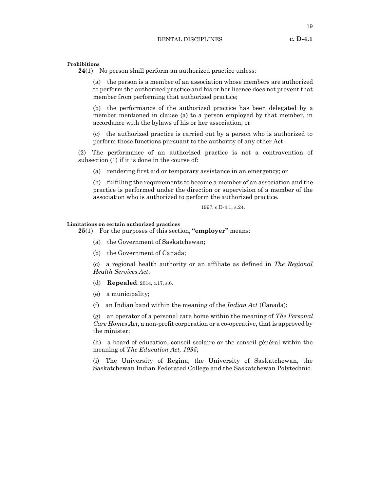#### **Prohibitions**

**24**(1) No person shall perform an authorized practice unless:

(a) the person is a member of an association whose members are authorized to perform the authorized practice and his or her licence does not prevent that member from performing that authorized practice;

(b) the performance of the authorized practice has been delegated by a member mentioned in clause (a) to a person employed by that member, in accordance with the bylaws of his or her association; or

(c) the authorized practice is carried out by a person who is authorized to perform those functions pursuant to the authority of any other Act.

(2) The performance of an authorized practice is not a contravention of subsection (1) if it is done in the course of:

(a) rendering first aid or temporary assistance in an emergency; or

(b) fulfilling the requirements to become a member of an association and the practice is performed under the direction or supervision of a member of the association who is authorized to perform the authorized practice.

1997, c.D-4.1, s.24.

# **Limitations on certain authorized practices**

**25**(1) For the purposes of this section, **"employer"** means:

- (a) the Government of Saskatchewan;
- (b) the Government of Canada;

(c) a regional health authority or an affiliate as defined in *The Regional Health Services Act*;

- (d) **Repealed**. 2014, c.17, s.6.
- (e) a municipality;
- (f) an Indian band within the meaning of the *Indian Act* (Canada);

(g) an operator of a personal care home within the meaning of *The Personal Care Homes Act*, a non-profit corporation or a co-operative, that is approved by the minister;

(h) a board of education, conseil scolaire or the conseil général within the meaning of *The Education Act, 1995*;

(i) The University of Regina, the University of Saskatchewan, the Saskatchewan Indian Federated College and the Saskatchewan Polytechnic.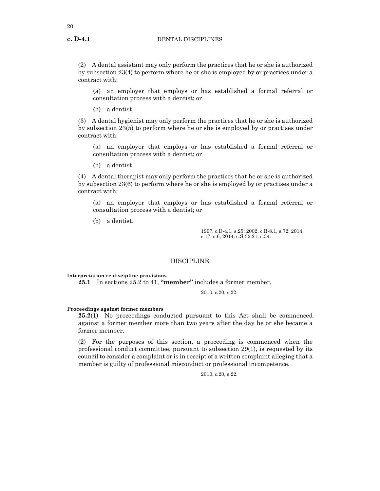(2) A dental assistant may only perform the practices that he or she is authorized by subsection 23(4) to perform where he or she is employed by or practices under a contract with:

(a) an employer that employs or has established a formal referral or consultation process with a dentist; or

(b) a dentist.

(3) A dental hygienist may only perform the practices that he or she is authorized by subsection 23(5) to perform where he or she is employed by or practises under contract with:

(a) an employer that employs or has established a formal referral or consultation process with a dentist; or

(b) a dentist.

(4) A dental therapist may only perform the practices that he or she is authorized by subsection 23(6) to perform where he or she is employed by or practises under a contract with:

(a) an employer that employs or has established a formal referral or consultation process with a dentist; or

(b) a dentist.

1997, c.D-4.1, s.25; 2002, c.R-8.1, s.72; 2014, c.17, s.6; 2014, c.S-32.21, s.34.

# DISCIPLINE

**Interpretation re discipline provisions**

**25.1** In sections 25.2 to 41, **"member"** includes a former member.

2010, c.20, s.22.

#### **Proceedings against former members**

**25.2**(1) No proceedings conducted pursuant to this Act shall be commenced against a former member more than two years after the day he or she became a former member.

(2) For the purposes of this section, a proceeding is commenced when the professional conduct committee, pursuant to subsection 29(1), is requested by its council to consider a complaint or is in receipt of a written complaint alleging that a member is guilty of professional misconduct or professional incompetence.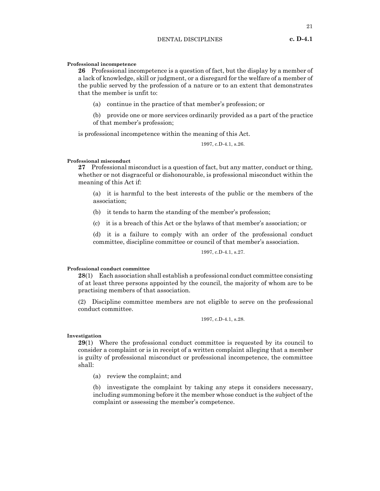21

# **Professional incompetence**

**26** Professional incompetence is a question of fact, but the display by a member of a lack of knowledge, skill or judgment, or a disregard for the welfare of a member of the public served by the profession of a nature or to an extent that demonstrates that the member is unfit to:

(a) continue in the practice of that member's profession; or

(b) provide one or more services ordinarily provided as a part of the practice of that member's profession;

is professional incompetence within the meaning of this Act.

1997, c.D-4.1, s.26.

# **Professional misconduct**

**27** Professional misconduct is a question of fact, but any matter, conduct or thing, whether or not disgraceful or dishonourable, is professional misconduct within the meaning of this Act if:

(a) it is harmful to the best interests of the public or the members of the association;

- (b) it tends to harm the standing of the member's profession;
- (c) it is a breach of this Act or the bylaws of that member's association; or

(d) it is a failure to comply with an order of the professional conduct committee, discipline committee or council of that member's association.

1997, c.D-4.1, s.27.

#### **Professional conduct committee**

**28**(1) Each association shall establish a professional conduct committee consisting of at least three persons appointed by the council, the majority of whom are to be practising members of that association.

(2) Discipline committee members are not eligible to serve on the professional conduct committee.

1997, c.D-4.1, s.28.

#### **Investigation**

**29**(1) Where the professional conduct committee is requested by its council to consider a complaint or is in receipt of a written complaint alleging that a member is guilty of professional misconduct or professional incompetence, the committee shall:

(a) review the complaint; and

(b) investigate the complaint by taking any steps it considers necessary, including summoning before it the member whose conduct is the subject of the complaint or assessing the member's competence.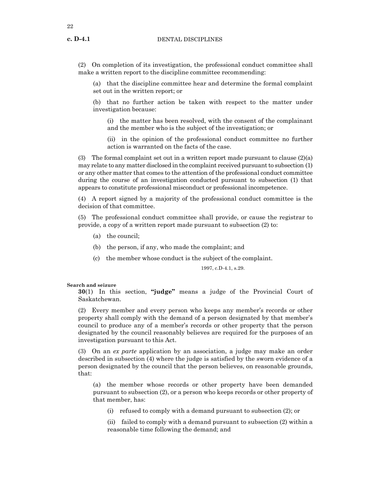22

(2) On completion of its investigation, the professional conduct committee shall make a written report to the discipline committee recommending:

(a) that the discipline committee hear and determine the formal complaint set out in the written report; or

(b) that no further action be taken with respect to the matter under investigation because:

(i) the matter has been resolved, with the consent of the complainant and the member who is the subject of the investigation; or

(ii) in the opinion of the professional conduct committee no further action is warranted on the facts of the case.

(3) The formal complaint set out in a written report made pursuant to clause  $(2)(a)$ may relate to any matter disclosed in the complaint received pursuant to subsection (1) or any other matter that comes to the attention of the professional conduct committee during the course of an investigation conducted pursuant to subsection (1) that appears to constitute professional misconduct or professional incompetence.

(4) A report signed by a majority of the professional conduct committee is the decision of that committee.

(5) The professional conduct committee shall provide, or cause the registrar to provide, a copy of a written report made pursuant to subsection (2) to:

- (a) the council;
- (b) the person, if any, who made the complaint; and
- (c) the member whose conduct is the subject of the complaint.

1997, c.D-4.1, s.29.

## **Search and seizure**

**30**(1) In this section, **"judge"** means a judge of the Provincial Court of Saskatchewan.

(2) Every member and every person who keeps any member's records or other property shall comply with the demand of a person designated by that member's council to produce any of a member's records or other property that the person designated by the council reasonably believes are required for the purposes of an investigation pursuant to this Act.

(3) On an *ex parte* application by an association, a judge may make an order described in subsection (4) where the judge is satisfied by the sworn evidence of a person designated by the council that the person believes, on reasonable grounds, that:

(a) the member whose records or other property have been demanded pursuant to subsection (2), or a person who keeps records or other property of that member, has:

(i) refused to comply with a demand pursuant to subsection (2); or

(ii) failed to comply with a demand pursuant to subsection (2) within a reasonable time following the demand; and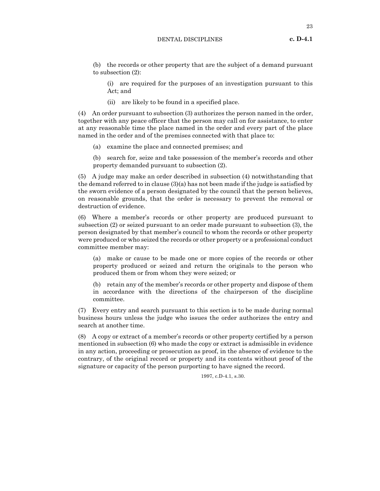(b) the records or other property that are the subject of a demand pursuant to subsection (2):

(i) are required for the purposes of an investigation pursuant to this Act; and

(ii) are likely to be found in a specified place.

(4) An order pursuant to subsection (3) authorizes the person named in the order, together with any peace officer that the person may call on for assistance, to enter at any reasonable time the place named in the order and every part of the place named in the order and of the premises connected with that place to:

- (a) examine the place and connected premises; and
- (b) search for, seize and take possession of the member's records and other property demanded pursuant to subsection (2).

(5) A judge may make an order described in subsection (4) notwithstanding that the demand referred to in clause (3)(a) has not been made if the judge is satisfied by the sworn evidence of a person designated by the council that the person believes, on reasonable grounds, that the order is necessary to prevent the removal or destruction of evidence.

(6) Where a member's records or other property are produced pursuant to subsection (2) or seized pursuant to an order made pursuant to subsection (3), the person designated by that member's council to whom the records or other property were produced or who seized the records or other property or a professional conduct committee member may:

(a) make or cause to be made one or more copies of the records or other property produced or seized and return the originals to the person who produced them or from whom they were seized; or

(b) retain any of the member's records or other property and dispose of them in accordance with the directions of the chairperson of the discipline committee.

(7) Every entry and search pursuant to this section is to be made during normal business hours unless the judge who issues the order authorizes the entry and search at another time.

(8) A copy or extract of a member's records or other property certified by a person mentioned in subsection (6) who made the copy or extract is admissible in evidence in any action, proceeding or prosecution as proof, in the absence of evidence to the contrary, of the original record or property and its contents without proof of the signature or capacity of the person purporting to have signed the record.

1997, c.D-4.1, s.30.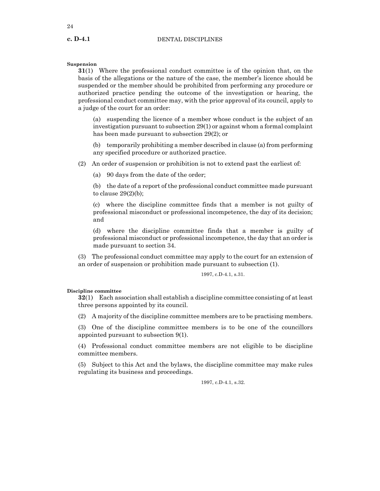24

# **Suspension**

**31**(1) Where the professional conduct committee is of the opinion that, on the basis of the allegations or the nature of the case, the member's licence should be suspended or the member should be prohibited from performing any procedure or authorized practice pending the outcome of the investigation or hearing, the professional conduct committee may, with the prior approval of its council, apply to a judge of the court for an order:

(a) suspending the licence of a member whose conduct is the subject of an investigation pursuant to subsection 29(1) or against whom a formal complaint has been made pursuant to subsection 29(2); or

(b) temporarily prohibiting a member described in clause (a) from performing any specified procedure or authorized practice.

(2) An order of suspension or prohibition is not to extend past the earliest of:

(a) 90 days from the date of the order;

(b) the date of a report of the professional conduct committee made pursuant to clause  $29(2)(b)$ ;

(c) where the discipline committee finds that a member is not guilty of professional misconduct or professional incompetence, the day of its decision; and

(d) where the discipline committee finds that a member is guilty of professional misconduct or professional incompetence, the day that an order is made pursuant to section 34.

(3) The professional conduct committee may apply to the court for an extension of an order of suspension or prohibition made pursuant to subsection (1).

1997, c.D-4.1, s.31.

# **Discipline committee**

**32**(1) Each association shall establish a discipline committee consisting of at least three persons appointed by its council.

(2) A majority of the discipline committee members are to be practising members.

(3) One of the discipline committee members is to be one of the councillors appointed pursuant to subsection 9(1).

(4) Professional conduct committee members are not eligible to be discipline committee members.

(5) Subject to this Act and the bylaws, the discipline committee may make rules regulating its business and proceedings.

1997, c.D-4.1, s.32.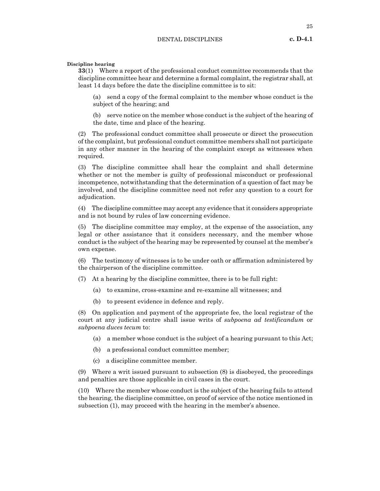**Discipline hearing**

**33**(1) Where a report of the professional conduct committee recommends that the discipline committee hear and determine a formal complaint, the registrar shall, at least 14 days before the date the discipline committee is to sit:

(a) send a copy of the formal complaint to the member whose conduct is the subject of the hearing; and

(b) serve notice on the member whose conduct is the subject of the hearing of the date, time and place of the hearing.

(2) The professional conduct committee shall prosecute or direct the prosecution of the complaint, but professional conduct committee members shall not participate in any other manner in the hearing of the complaint except as witnesses when required.

(3) The discipline committee shall hear the complaint and shall determine whether or not the member is guilty of professional misconduct or professional incompetence, notwithstanding that the determination of a question of fact may be involved, and the discipline committee need not refer any question to a court for adjudication.

(4) The discipline committee may accept any evidence that it considers appropriate and is not bound by rules of law concerning evidence.

(5) The discipline committee may employ, at the expense of the association, any legal or other assistance that it considers necessary, and the member whose conduct is the subject of the hearing may be represented by counsel at the member's own expense.

(6) The testimony of witnesses is to be under oath or affirmation administered by the chairperson of the discipline committee.

(7) At a hearing by the discipline committee, there is to be full right:

- (a) to examine, cross-examine and re-examine all witnesses; and
- (b) to present evidence in defence and reply.

(8) On application and payment of the appropriate fee, the local registrar of the court at any judicial centre shall issue writs of *subpoena ad testificandum* or *subpoena duces tecum* to:

- (a) a member whose conduct is the subject of a hearing pursuant to this Act;
- (b) a professional conduct committee member;
- (c) a discipline committee member.

(9) Where a writ issued pursuant to subsection (8) is disobeyed, the proceedings and penalties are those applicable in civil cases in the court.

(10) Where the member whose conduct is the subject of the hearing fails to attend the hearing, the discipline committee, on proof of service of the notice mentioned in subsection (1), may proceed with the hearing in the member's absence.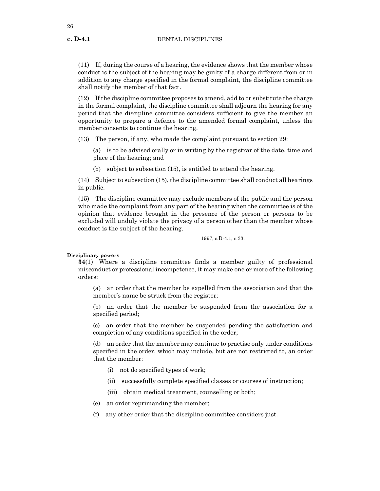(11) If, during the course of a hearing, the evidence shows that the member whose conduct is the subject of the hearing may be guilty of a charge different from or in addition to any charge specified in the formal complaint, the discipline committee shall notify the member of that fact.

(12) If the discipline committee proposes to amend, add to or substitute the charge in the formal complaint, the discipline committee shall adjourn the hearing for any period that the discipline committee considers sufficient to give the member an opportunity to prepare a defence to the amended formal complaint, unless the member consents to continue the hearing.

(13) The person, if any, who made the complaint pursuant to section 29:

(a) is to be advised orally or in writing by the registrar of the date, time and place of the hearing; and

(b) subject to subsection (15), is entitled to attend the hearing.

(14) Subject to subsection (15), the discipline committee shall conduct all hearings in public.

(15) The discipline committee may exclude members of the public and the person who made the complaint from any part of the hearing when the committee is of the opinion that evidence brought in the presence of the person or persons to be excluded will unduly violate the privacy of a person other than the member whose conduct is the subject of the hearing.

1997, c.D-4.1, s.33.

**Disciplinary powers**

**34**(1) Where a discipline committee finds a member guilty of professional misconduct or professional incompetence, it may make one or more of the following orders:

(a) an order that the member be expelled from the association and that the member's name be struck from the register;

(b) an order that the member be suspended from the association for a specified period;

(c) an order that the member be suspended pending the satisfaction and completion of any conditions specified in the order;

(d) an order that the member may continue to practise only under conditions specified in the order, which may include, but are not restricted to, an order that the member:

- (i) not do specified types of work;
- (ii) successfully complete specified classes or courses of instruction;
- (iii) obtain medical treatment, counselling or both;
- (e) an order reprimanding the member;
- (f) any other order that the discipline committee considers just.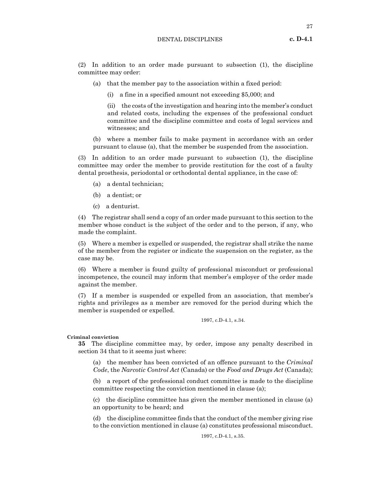(2) In addition to an order made pursuant to subsection (1), the discipline committee may order:

- (a) that the member pay to the association within a fixed period:
	- (i) a fine in a specified amount not exceeding \$5,000; and

(ii) the costs of the investigation and hearing into the member's conduct and related costs, including the expenses of the professional conduct committee and the discipline committee and costs of legal services and witnesses; and

(b) where a member fails to make payment in accordance with an order pursuant to clause (a), that the member be suspended from the association.

(3) In addition to an order made pursuant to subsection (1), the discipline committee may order the member to provide restitution for the cost of a faulty dental prosthesis, periodontal or orthodontal dental appliance, in the case of:

- (a) a dental technician;
- (b) a dentist; or
- (c) a denturist.

(4) The registrar shall send a copy of an order made pursuant to this section to the member whose conduct is the subject of the order and to the person, if any, who made the complaint.

(5) Where a member is expelled or suspended, the registrar shall strike the name of the member from the register or indicate the suspension on the register, as the case may be.

(6) Where a member is found guilty of professional misconduct or professional incompetence, the council may inform that member's employer of the order made against the member.

(7) If a member is suspended or expelled from an association, that member's rights and privileges as a member are removed for the period during which the member is suspended or expelled.

1997, c.D-4.1, s.34.

**Criminal conviction**

**35** The discipline committee may, by order, impose any penalty described in section 34 that to it seems just where:

(a) the member has been convicted of an offence pursuant to the *Criminal Code*, the *Narcotic Control Act* (Canada) or the *Food and Drugs Act* (Canada);

(b) a report of the professional conduct committee is made to the discipline committee respecting the conviction mentioned in clause (a);

(c) the discipline committee has given the member mentioned in clause (a) an opportunity to be heard; and

(d) the discipline committee finds that the conduct of the member giving rise to the conviction mentioned in clause (a) constitutes professional misconduct.

1997, c.D-4.1, s.35.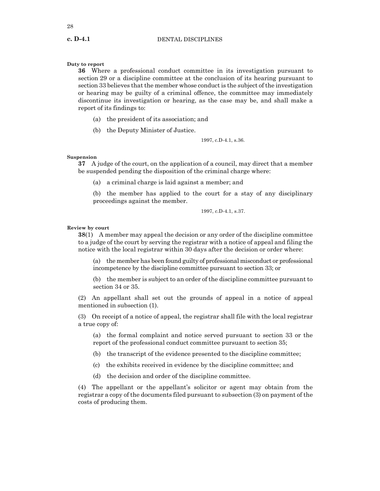# **Duty to report**

**36** Where a professional conduct committee in its investigation pursuant to section 29 or a discipline committee at the conclusion of its hearing pursuant to section 33 believes that the member whose conduct is the subject of the investigation or hearing may be guilty of a criminal offence, the committee may immediately discontinue its investigation or hearing, as the case may be, and shall make a report of its findings to:

- (a) the president of its association; and
- (b) the Deputy Minister of Justice.

1997, c.D-4.1, s.36.

#### **Suspension**

**37** A judge of the court, on the application of a council, may direct that a member be suspended pending the disposition of the criminal charge where:

(a) a criminal charge is laid against a member; and

(b) the member has applied to the court for a stay of any disciplinary proceedings against the member.

1997, c.D-4.1, s.37.

# **Review by court**

**38**(1) A member may appeal the decision or any order of the discipline committee to a judge of the court by serving the registrar with a notice of appeal and filing the notice with the local registrar within 30 days after the decision or order where:

(a) the member has been found guilty of professional misconduct or professional incompetence by the discipline committee pursuant to section 33; or

(b) the member is subject to an order of the discipline committee pursuant to section 34 or 35.

(2) An appellant shall set out the grounds of appeal in a notice of appeal mentioned in subsection (1).

(3) On receipt of a notice of appeal, the registrar shall file with the local registrar a true copy of:

(a) the formal complaint and notice served pursuant to section 33 or the report of the professional conduct committee pursuant to section 35;

(b) the transcript of the evidence presented to the discipline committee;

(c) the exhibits received in evidence by the discipline committee; and

(d) the decision and order of the discipline committee.

(4) The appellant or the appellant's solicitor or agent may obtain from the registrar a copy of the documents filed pursuant to subsection (3) on payment of the costs of producing them.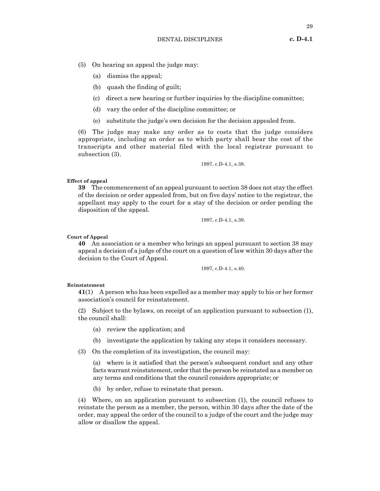- (5) On hearing an appeal the judge may:
	- (a) dismiss the appeal;
	- (b) quash the finding of guilt;
	- (c) direct a new hearing or further inquiries by the discipline committee;
	- (d) vary the order of the discipline committee; or
	- (e) substitute the judge's own decision for the decision appealed from.

(6) The judge may make any order as to costs that the judge considers appropriate, including an order as to which party shall bear the cost of the transcripts and other material filed with the local registrar pursuant to subsection (3).

1997, c.D-4.1, s.38.

#### **Effect of appeal**

**39** The commencement of an appeal pursuant to section 38 does not stay the effect of the decision or order appealed from, but on five days' notice to the registrar, the appellant may apply to the court for a stay of the decision or order pending the disposition of the appeal.

1997, c.D-4.1, s.39.

#### **Court of Appeal**

**40** An association or a member who brings an appeal pursuant to section 38 may appeal a decision of a judge of the court on a question of law within 30 days after the decision to the Court of Appeal.

1997, c.D-4.1, s.40.

## **Reinstatement**

**41**(1) A person who has been expelled as a member may apply to his or her former association's council for reinstatement.

(2) Subject to the bylaws, on receipt of an application pursuant to subsection (1), the council shall:

- (a) review the application; and
- (b) investigate the application by taking any steps it considers necessary.

(3) On the completion of its investigation, the council may:

(a) where is it satisfied that the person's subsequent conduct and any other facts warrant reinstatement, order that the person be reinstated as a member on any terms and conditions that the council considers appropriate; or

(b) by order, refuse to reinstate that person.

(4) Where, on an application pursuant to subsection (1), the council refuses to reinstate the person as a member, the person, within 30 days after the date of the order, may appeal the order of the council to a judge of the court and the judge may allow or disallow the appeal.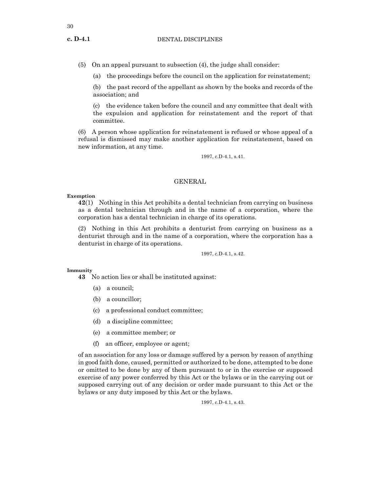(5) On an appeal pursuant to subsection (4), the judge shall consider:

(a) the proceedings before the council on the application for reinstatement;

(b) the past record of the appellant as shown by the books and records of the association; and

(c) the evidence taken before the council and any committee that dealt with the expulsion and application for reinstatement and the report of that committee.

(6) A person whose application for reinstatement is refused or whose appeal of a refusal is dismissed may make another application for reinstatement, based on new information, at any time.

1997, c.D-4.1, s.41.

# GENERAL

# **Exemption**

**42**(1) Nothing in this Act prohibits a dental technician from carrying on business as a dental technician through and in the name of a corporation, where the corporation has a dental technician in charge of its operations.

(2) Nothing in this Act prohibits a denturist from carrying on business as a denturist through and in the name of a corporation, where the corporation has a denturist in charge of its operations.

1997, c.D-4.1, s.42.

# **Immunity**

**43** No action lies or shall be instituted against:

- (a) a council;
- (b) a councillor;
- (c) a professional conduct committee;
- (d) a discipline committee;
- (e) a committee member; or
- (f) an officer, employee or agent;

of an association for any loss or damage suffered by a person by reason of anything in good faith done, caused, permitted or authorized to be done, attempted to be done or omitted to be done by any of them pursuant to or in the exercise or supposed exercise of any power conferred by this Act or the bylaws or in the carrying out or supposed carrying out of any decision or order made pursuant to this Act or the bylaws or any duty imposed by this Act or the bylaws.

1997, c.D-4.1, s.43.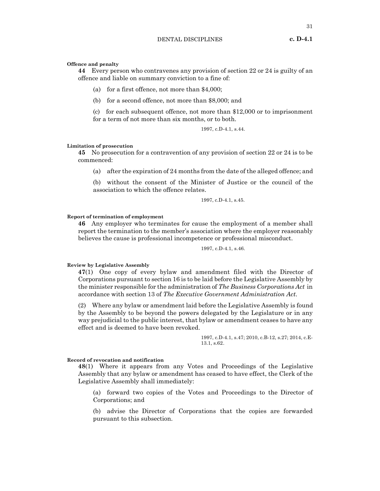#### **Offence and penalty**

**44** Every person who contravenes any provision of section 22 or 24 is guilty of an offence and liable on summary conviction to a fine of:

- (a) for a first offence, not more than \$4,000;
- (b) for a second offence, not more than \$8,000; and

(c) for each subsequent offence, not more than \$12,000 or to imprisonment for a term of not more than six months, or to both.

1997, c.D-4.1, s.44.

# **Limitation of prosecution**

**45** No prosecution for a contravention of any provision of section 22 or 24 is to be commenced:

(a) after the expiration of 24 months from the date of the alleged offence; and

(b) without the consent of the Minister of Justice or the council of the association to which the offence relates.

1997, c.D-4.1, s.45.

#### **Report of termination of employment**

**46** Any employer who terminates for cause the employment of a member shall report the termination to the member's association where the employer reasonably believes the cause is professional incompetence or professional misconduct.

1997, c.D-4.1, s.46.

# **Review by Legislative Assembly**

**47**(1) One copy of every bylaw and amendment filed with the Director of Corporations pursuant to section 16 is to be laid before the Legislative Assembly by the minister responsible for the administration of *The Business Corporations Act* in accordance with section 13 of *The Executive Government Administration Act*.

(2) Where any bylaw or amendment laid before the Legislative Assembly is found by the Assembly to be beyond the powers delegated by the Legislature or in any way prejudicial to the public interest, that bylaw or amendment ceases to have any effect and is deemed to have been revoked.

> 1997, c.D-4.1, s.47; 2010, c.B-12, s.27; 2014, c.E- $13.1, s.62.$

#### **Record of revocation and notification**

**48**(1) Where it appears from any Votes and Proceedings of the Legislative Assembly that any bylaw or amendment has ceased to have effect, the Clerk of the Legislative Assembly shall immediately:

(a) forward two copies of the Votes and Proceedings to the Director of Corporations; and

(b) advise the Director of Corporations that the copies are forwarded pursuant to this subsection.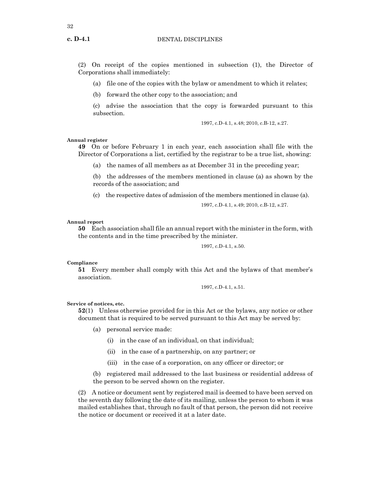(2) On receipt of the copies mentioned in subsection (1), the Director of Corporations shall immediately:

(a) file one of the copies with the bylaw or amendment to which it relates;

(b) forward the other copy to the association; and

(c) advise the association that the copy is forwarded pursuant to this subsection.

1997, c.D-4.1, s.48; 2010, c.B-12, s.27.

#### **Annual register**

**49** On or before February 1 in each year, each association shall file with the Director of Corporations a list, certified by the registrar to be a true list, showing:

(a) the names of all members as at December 31 in the preceding year;

(b) the addresses of the members mentioned in clause (a) as shown by the records of the association; and

(c) the respective dates of admission of the members mentioned in clause (a).

1997, c.D-4.1, s.49; 2010, c.B-12, s.27.

#### **Annual report**

**50** Each association shall file an annual report with the minister in the form, with the contents and in the time prescribed by the minister.

1997, c.D-4.1, s.50.

#### **Compliance**

**51** Every member shall comply with this Act and the bylaws of that member's association.

1997, c.D-4.1, s.51.

#### **Service of notices, etc.**

**52**(1) Unless otherwise provided for in this Act or the bylaws, any notice or other document that is required to be served pursuant to this Act may be served by:

- (a) personal service made:
	- (i) in the case of an individual, on that individual;
	- (ii) in the case of a partnership, on any partner; or
	- (iii) in the case of a corporation, on any officer or director; or
- (b) registered mail addressed to the last business or residential address of the person to be served shown on the register.

(2) A notice or document sent by registered mail is deemed to have been served on the seventh day following the date of its mailing, unless the person to whom it was mailed establishes that, through no fault of that person, the person did not receive the notice or document or received it at a later date.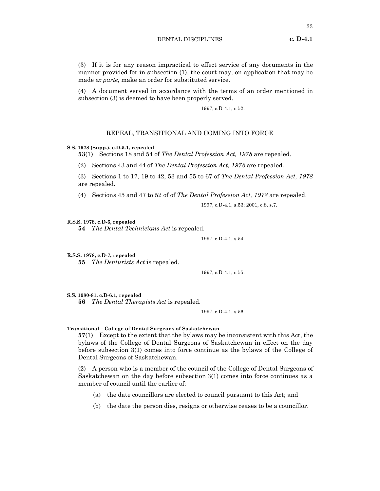(3) If it is for any reason impractical to effect service of any documents in the manner provided for in subsection (1), the court may, on application that may be made *ex parte*, make an order for substituted service.

(4) A document served in accordance with the terms of an order mentioned in subsection (3) is deemed to have been properly served.

1997, c.D-4.1, s.52.

# REPEAL, TRANSITIONAL AND COMING INTO FORCE

#### **S.S. 1978 (Supp.), c.D-5.1, repealed**

**53**(1) Sections 18 and 54 of *The Dental Profession Act, 1978* are repealed.

(2) Sections 43 and 44 of *The Dental Profession Act, 1978* are repealed.

(3) Sections 1 to 17, 19 to 42, 53 and 55 to 67 of *The Dental Profession Act, 1978* are repealed.

(4) Sections 45 and 47 to 52 of of *The Dental Profession Act, 1978* are repealed.

1997, c.D-4.1, s.53; 2001, c.8, s.7.

# **R.S.S. 1978, c.D-6, repealed**

**54** *The Dental Technicians Act* is repealed.

1997, c.D-4.1, s.54.

**R.S.S. 1978, c.D-7, repealed**

**55** *The Denturists Act* is repealed.

1997, c.D-4.1, s.55.

**S.S. 1980-81, c.D-6.1, repealed 56** *The Dental Therapists Act* is repealed.

1997, c.D-4.1, s.56.

#### **Transitional – College of Dental Surgeons of Saskatchewan**

**57**(1) Except to the extent that the bylaws may be inconsistent with this Act, the bylaws of the College of Dental Surgeons of Saskatchewan in effect on the day before subsection 3(1) comes into force continue as the bylaws of the College of Dental Surgeons of Saskatchewan.

(2) A person who is a member of the council of the College of Dental Surgeons of Saskatchewan on the day before subsection 3(1) comes into force continues as a member of council until the earlier of:

- (a) the date councillors are elected to council pursuant to this Act; and
- (b) the date the person dies, resigns or otherwise ceases to be a councillor.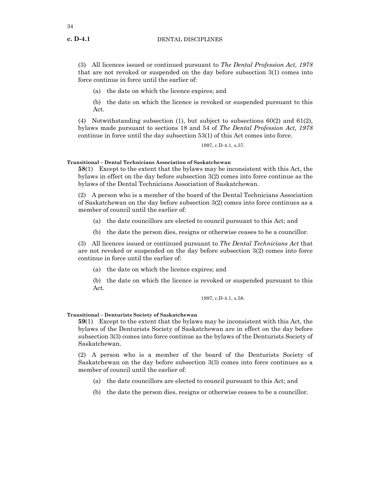(3) All licences issued or continued pursuant to *The Dental Profession Act, 1978* that are not revoked or suspended on the day before subsection 3(1) comes into force continue in force until the earlier of:

(a) the date on which the licence expires; and

(b) the date on which the licence is revoked or suspended pursuant to this Act.

(4) Notwithstanding subsection (1), but subject to subsections 60(2) and 61(2), bylaws made pursuant to sections 18 and 54 of *The Dental Profession Act, 1978* continue in force until the day subsection 53(1) of this Act comes into force.

1997, c.D-4.1, s.57.

**Transitional – Dental Technicians Association of Saskatchewan**

**58**(1) Except to the extent that the bylaws may be inconsistent with this Act, the bylaws in effect on the day before subsection 3(2) comes into force continue as the bylaws of the Dental Technicians Association of Saskatchewan.

(2) A person who is a member of the board of the Dental Technicians Association of Saskatchewan on the day before subsection 3(2) comes into force continues as a member of council until the earlier of:

- (a) the date councillors are elected to council pursuant to this Act; and
- (b) the date the person dies, resigns or otherwise ceases to be a councillor.

(3) All licences issued or continued pursuant to *The Dental Technicians Act* that are not revoked or suspended on the day before subsection 3(2) comes into force continue in force until the earlier of:

(a) the date on which the licence expires; and

(b) the date on which the licence is revoked or suspended pursuant to this Act.

#### 1997, c.D-4.1, s.58.

# **Transitional – Denturists Society of Saskatchewan**

**59**(1) Except to the extent that the bylaws may be inconsistent with this Act, the bylaws of the Denturists Society of Saskatchewan are in effect on the day before subsection 3(3) comes into force continue as the bylaws of the Denturists Society of Saskatchewan.

(2) A person who is a member of the board of the Denturists Society of Saskatchewan on the day before subsection 3(3) comes into force continues as a member of council until the earlier of:

- (a) the date councillors are elected to council pursuant to this Act; and
- (b) the date the person dies, resigns or otherwise ceases to be a councillor.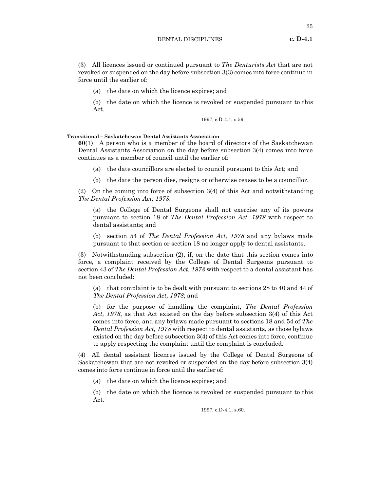# DENTAL DISCIPLINES **c. D-4.1**

(3) All licences issued or continued pursuant to *The Denturists Act* that are not revoked or suspended on the day before subsection 3(3) comes into force continue in force until the earlier of:

(a) the date on which the licence expires; and

(b) the date on which the licence is revoked or suspended pursuant to this Act.

1997, c.D-4.1, s.59.

# **Transitional – Saskatchewan Dental Assistants Association**

**60**(1) A person who is a member of the board of directors of the Saskatchewan Dental Assistants Association on the day before subsection 3(4) comes into force continues as a member of council until the earlier of:

(a) the date councillors are elected to council pursuant to this Act; and

(b) the date the person dies, resigns or otherwise ceases to be a councillor.

(2) On the coming into force of subsection 3(4) of this Act and notwithstanding *The Dental Profession Act, 1978*:

(a) the College of Dental Surgeons shall not exercise any of its powers pursuant to section 18 of *The Dental Profession Act, 1978* with respect to dental assistants; and

(b) section 54 of *The Dental Profession Act, 1978* and any bylaws made pursuant to that section or section 18 no longer apply to dental assistants.

(3) Notwithstanding subsection (2), if, on the date that this section comes into force, a complaint received by the College of Dental Surgeons pursuant to section 43 of *The Dental Profession Act, 1978* with respect to a dental assistant has not been concluded:

(a) that complaint is to be dealt with pursuant to sections 28 to 40 and 44 of *The Dental Profession Act, 1978*; and

(b) for the purpose of handling the complaint, *The Dental Profession Act, 1978*, as that Act existed on the day before subsection 3(4) of this Act comes into force, and any bylaws made pursuant to sections 18 and 54 of *The Dental Profession Act, 1978* with respect to dental assistants, as those bylaws existed on the day before subsection 3(4) of this Act comes into force, continue to apply respecting the complaint until the complaint is concluded.

(4) All dental assistant licences issued by the College of Dental Surgeons of Saskatchewan that are not revoked or suspended on the day before subsection 3(4) comes into force continue in force until the earlier of:

(a) the date on which the licence expires; and

(b) the date on which the licence is revoked or suspended pursuant to this Act.

1997, c.D-4.1, s.60.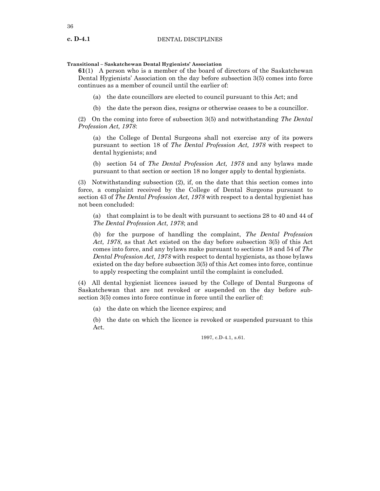# **Transitional – Saskatchewan Dental Hygienists' Association**

**61**(1) A person who is a member of the board of directors of the Saskatchewan Dental Hygienists' Association on the day before subsection 3(5) comes into force continues as a member of council until the earlier of:

(a) the date councillors are elected to council pursuant to this Act; and

(b) the date the person dies, resigns or otherwise ceases to be a councillor.

(2) On the coming into force of subsection 3(5) and notwithstanding *The Dental Profession Act, 1978*:

(a) the College of Dental Surgeons shall not exercise any of its powers pursuant to section 18 of *The Dental Profession Act, 1978* with respect to dental hygienists; and

(b) section 54 of *The Dental Profession Act, 1978* and any bylaws made pursuant to that section or section 18 no longer apply to dental hygienists.

(3) Notwithstanding subsection (2), if, on the date that this section comes into force, a complaint received by the College of Dental Surgeons pursuant to section 43 of *The Dental Profession Act, 1978* with respect to a dental hygienist has not been concluded:

(a) that complaint is to be dealt with pursuant to sections 28 to 40 and 44 of *The Dental Profession Act, 1978*; and

(b) for the purpose of handling the complaint, *The Dental Profession Act, 1978*, as that Act existed on the day before subsection 3(5) of this Act comes into force, and any bylaws make pursuant to sections 18 and 54 of *The Dental Profession Act, 1978* with respect to dental hygienists, as those bylaws existed on the day before subsection 3(5) of this Act comes into force, continue to apply respecting the complaint until the complaint is concluded.

(4) All dental hygienist licences issued by the College of Dental Surgeons of Saskatchewan that are not revoked or suspended on the day before subsection 3(5) comes into force continue in force until the earlier of:

(a) the date on which the licence expires; and

(b) the date on which the licence is revoked or suspended pursuant to this Act.

1997, c.D-4.1, s.61.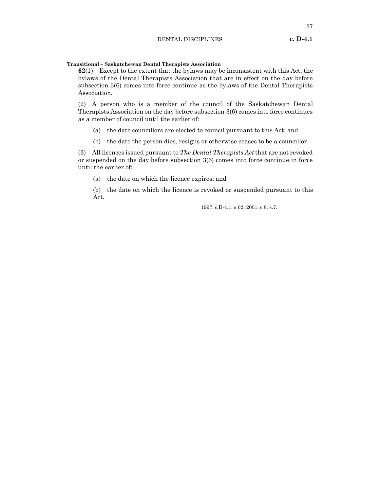37

# **Transitional – Saskatchewan Dental Therapists Association**

**62**(1) Except to the extent that the bylaws may be inconsistent with this Act, the bylaws of the Dental Therapists Association that are in effect on the day before subsection 3(6) comes into force continue as the bylaws of the Dental Therapists Association.

(2) A person who is a member of the council of the Saskatchewan Dental Therapists Association on the day before subsection 3(6) comes into force continues as a member of council until the earlier of:

- (a) the date councillors are elected to council pursuant to this Act; and
- (b) the date the person dies, resigns or otherwise ceases to be a councillor.

(3) All licences issued pursuant to *The Dental Therapists Act* that are not revoked or suspended on the day before subsection 3(6) comes into force continue in force until the earlier of:

(a) the date on which the licence expires; and

(b) the date on which the licence is revoked or suspended pursuant to this Act.

1997, c.D-4.1, s.62; 2001, c.8, s.7.